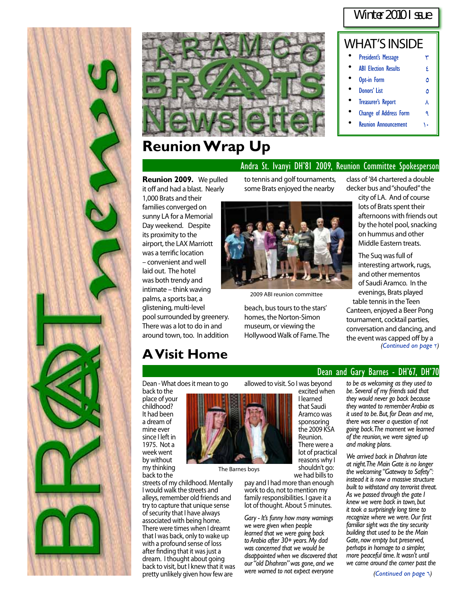#### Winter 2010 I ssue



### **Reunion Wrap Up**

#### WHAT'S INSIDE **[President's Message](#page-2-0) [3](#page-2-0) TV [ABI Election Results](#page-3-0)** 6 **•** [Opt-in Form](#page-4-0) [5](#page-4-0) **Ponors' List** 6 **[Treasurer's Report](#page-7-0) A [Change of Address Form](#page-8-0) [9](#page-8-0)**

**[Reunion Announcement](#page-9-0)** 1.

#### Andra St. Ivanyi DH'81 2009, Reunion Committee Spokesperson

**Reunion 2009.** We pulled it off and had a blast. Nearly 1,000 Brats and their

families converged on sunny LA for a Memorial Day weekend. Despite its proximity to the airport, the LAX Marriott was a terrific location – convenient and well laid out. The hotel was both trendy and intimate – think waving palms, a sports bar, a glistening, multi-level pool surrounded by greenery. There was a lot to do in and around town, too. In addition

some Brats enjoyed the nearby

to tennis and golf tournaments,



2009 ABI reunion committee

beach, bus tours to the stars' homes, the Norton-Simon museum, or viewing the Hollywood Walk of Fame. The

class of '84 chartered a double decker bus and "shoufed" the

city of LA. And of course lots of Brats spent their afternoons with friends out by the hotel pool, snacking on hummus and other Middle Eastern treats.

The Suq was full of interesting artwork, rugs, and other mementos of Saudi Aramco. In the evenings, Brats played table tennis in the Teen Canteen, enjoyed a Beer Pong tournament, cocktail parties, conversation and dancing, and the event was capped off by a *[\(Continued on page](#page-1-0) Y)* 

### **A Visit Home**

Dean - What does it mean to go back to the

place of your childhood? It had been a dream of mine ever since I left in 1975. Not a week went by without my thinking back to the



allowed to visit. So I was beyond

excited when I learned that Saudi Aramco was sponsoring the 2009 KSA Reunion.

There were a lot of practical reasons why I shouldn't go: we had bills to

pay and I had more than enough work to do, not to mention my family responsibilities. I gave it a lot of thought. About 5 minutes.

The Barnes boys

*Gary - It's funny how many warnings we were given when people learned that we were going back to Arabia after 30+ years. My dad was concerned that we would be disappointed when we discovered that our "old Dhahran" was gone, and we were warned to not expect everyone* 

#### Dean and Gary Barnes - DH'67, DH'70

*to be as welcoming as they used to be. Several of my friends said that they would never go back because they wanted to remember Arabia as it used to be. But, for Dean and me, there was never a question of not going back. The moment we learned of the reunion, we were signed up and making plans.* 

*We arrived back in Dhahran late at night. The Main Gate is no longer the welcoming "Gateway to Safety": instead it is now a massive structure built to withstand any terrorist threat. As we passed through the gate I knew we were back in town, but it took a surprisingly long time to recognize where we were. Our first familiar sight was the tiny security building that used to be the Main Gate, now empty but preserved, perhaps in homage to a simpler, more peaceful time. It wasn't until we came around the corner past the*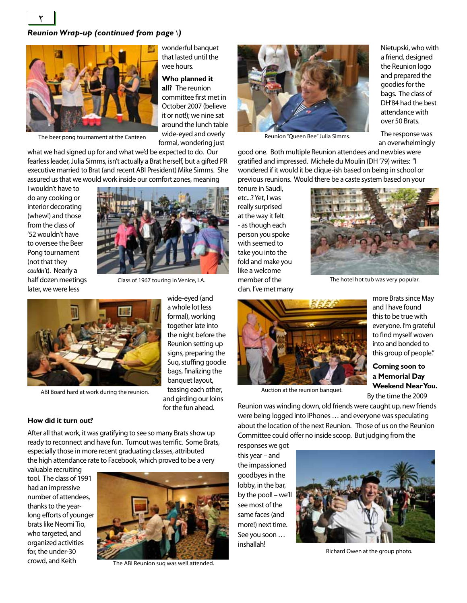#### <span id="page-1-0"></span>*Reunion Wrap-up (continued from page* 1*)*



The beer pong tournament at the Canteen

what we had signed up for and what we'd be expected to do. Our fearless leader, Julia Simms, isn't actually a Brat herself, but a gifted PR executive married to Brat (and recent ABI President) Mike Simms. She assured us that we would work inside our comfort zones, meaning

I wouldn't have to do any cooking or interior decorating (whew!) and those from the class of '52 wouldn't have to oversee the Beer Pong tournament (not that they *couldn't*). Nearly a



wonderful banquet that lasted until the

**Who planned it all?** The reunion committee first met in October 2007 (believe it or not!); we nine sat around the lunch table wide-eyed and overly formal, wondering just

wee hours.

half dozen meetings later, we were less

Class of 1967 touring in Venice, LA.

wide-eyed (and a whole lot less formal), working together late into the night before the Reunion setting up signs, preparing the Suq, stuffing goodie bags, finalizing the banquet layout, teasing each other, and girding our loins for the fun ahead.



ABI Board hard at work during the reunion.

#### **How did it turn out?**

After all that work, it was gratifying to see so many Brats show up ready to reconnect and have fun. Turnout was terrific. Some Brats, especially those in more recent graduating classes, attributed the high attendance rate to Facebook, which proved to be a very

valuable recruiting tool. The class of 1991 had an impressive number of attendees, thanks to the yearlong efforts of younger brats like Neomi Tio, who targeted, and organized activities for, the under-30 crowd, and Keith



The ABI Reunion suq was well attended.



Reunion "Queen Bee" Julia Simms.

Nietupski, who with a friend, designed the Reunion logo and prepared the goodies for the bags. The class of DH'84 had the best attendance with over 50 Brats.

The response was an overwhelmingly

good one. Both multiple Reunion attendees and newbies were gratified and impressed. Michele du Moulin (DH '79) writes: "I wondered if it would it be clique-ish based on being in school or previous reunions. Would there be a caste system based on your

tenure in Saudi, etc...? Yet, I was really surprised at the way it felt - as though each person you spoke with seemed to take you into the fold and make you like a welcome member of the clan. I've met many



The hotel hot tub was very popular.



Auction at the reunion banquet.

more Brats since May and I have found this to be true with everyone. I'm grateful to find myself woven into and bonded to this group of people."

**Coming soon to a Memorial Day Weekend Near You.**  By the time the 2009

Reunion was winding down, old friends were caught up, new friends were being logged into iPhones … and everyone was speculating about the location of the next Reunion. Those of us on the Reunion Committee could offer no inside scoop. But judging from the

responses we got this year – and the impassioned goodbyes in the lobby, in the bar, by the pool! – we'll see most of the same faces (and more!) next time. See you soon … inshallah!



Richard Owen at the group photo.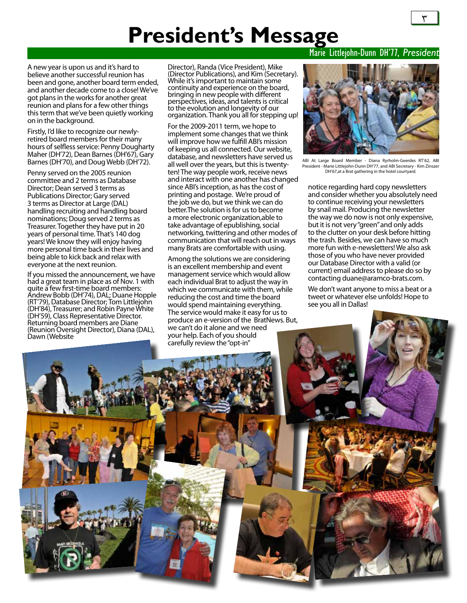# **President's Message**

<span id="page-2-0"></span>A new year is upon us and it's hard to believe another successful reunion has been and gone, another board term ended, and another decade come to a close! We've got plans in the works for another great reunion and plans for a few other things this term that we've been quietly working on in the background.

Firstly, I'd like to recognize our newlyretired board members for their many hours of selfless service: Penny Dougharty Maher (DH'72), Dean Barnes (DH'67), Gary Barnes (DH'70), and Doug Webb (DH'72).

Penny served on the 2005 reunion committee and 2 terms as Database Director; Dean served 3 terms as Publications Director; Gary served 3 terms as Director at Large (DAL) handling recruiting and handling board nominations; Doug served 2 terms as Treasurer. Together they have put in 20 years of personal time. That's 140 dog years! We know they will enjoy having more personal time back in their lives and being able to kick back and relax with everyone at the next reunion.

If you missed the announcement, we have had a great team in place as of Nov. 1 with quite a few first-time board members: Andrew Bobb (DH'74), DAL; Duane Hopple (RT'79), Database Director; Tom Littlejohn (DH'84), Treasurer; and Robin Payne White (DH'59), Class Representative Director. Returning board members are Diane (Reunion Oversight Director), Diana (DAL), Dawn (Website

Director), Randa (Vice President), Mike (Director Publications), and Kim (Secretary). While it's important to maintain some continuity and experience on the board, bringing in new people with different perspectives, ideas, and talents is critical to the evolution and longevity of our organization. Thank you all for stepping up!

For the 2009-2011 term, we hope to implement some changes that we think will improve how we fulfill ABI's mission of keeping us all connected. Our website, database, and newsletters have served us all well over the years, but this is twentyten! The way people work, receive news and interact with one another has changed since ABI's inception, as has the cost of printing and postage. We're proud of the job we do, but we think we can do better.The solution is for us to become a more electronic organization,able to take advantage of epublishing, social networking, twittering and other modes of communication that will reach out in ways many Brats are comfortable with using.

Among the solutions we are considering is an excellent membership and event management service which would allow each individual Brat to adjust the way in which we communicate with them, while reducing the cost and time the board would spend maintaining everything. The service would make it easy for us to produce an e-version of the BratNews. But, we can't do it alone and we need your help. Each of you should carefully review the "opt-in"

#### Marie Littlejohn-Dunn DH'77, *President*



ABI At Large Board Member - Diana Ryrholm-Geerdes RT'62, ABI President - Marie Littlejohn-Dunn DH'77, and ABI Secretary - Kim Zinszer DH'67, at a Brat gathering in the hotel courtyard

notice regarding hard copy newsletters and consider whether you absolutely need to continue receiving your newsletters by snail mail. Producing the newsletter the way we do now is not only expensive, but it is not very "green" and only adds to the clutter on your desk before hitting the trash. Besides, we can have so much more fun with e-newsletters! We also ask those of you who have never provided our Database Director with a valid (or current) email address to please do so by contacting duane@aramco-brats.com.

We don't want anyone to miss a beat or a tweet or whatever else unfolds! Hope to see you all in Dallas!

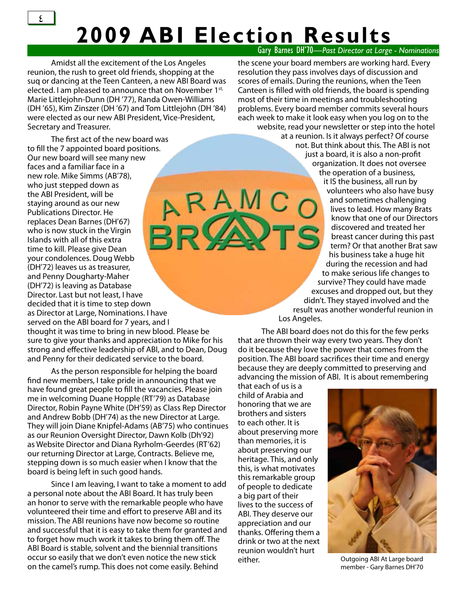### Gary Barnes DH'70*—Past Director at Large - Nominations* **2009 ABI Election Results**

<span id="page-3-0"></span>Amidst all the excitement of the Los Angeles reunion, the rush to greet old friends, shopping at the suq or dancing at the Teen Canteen, a new ABI Board was elected. I am pleased to announce that on November 1<sup>st,</sup> Marie Littlejohn-Dunn (DH '77), Randa Owen-Williams (DH '65), Kim Zinszer (DH '67) and Tom Littlejohn (DH '84) were elected as our new ABI President, Vice-President, Secretary and Treasurer.

The first act of the new board was to fill the 7 appointed board positions. Our new board will see many new faces and a familiar face in a new role. Mike Simms (AB'78), RAMC who just stepped down as the ABI President, will be staying around as our new Publications Director. He replaces Dean Barnes (DH'67) who is now stuck in the Virgin Islands with all of this extra time to kill. Please give Dean your condolences. Doug Webb (DH'72) leaves us as treasurer, and Penny Dougharty-Maher (DH'72) is leaving as Database Director. Last but not least, I have decided that it is time to step down as Director at Large, Nominations. I have served on the ABI board for 7 years, and I thought it was time to bring in new blood. Please be

sure to give your thanks and appreciation to Mike for his strong and effective leadership of ABI, and to Dean, Doug and Penny for their dedicated service to the board.

As the person responsible for helping the board find new members, I take pride in announcing that we have found great people to fill the vacancies. Please join me in welcoming Duane Hopple (RT'79) as Database Director, Robin Payne White (DH'59) as Class Rep Director and Andrew Bobb (DH'74) as the new Director at Large. They will join Diane Knipfel-Adams (AB'75) who continues as our Reunion Oversight Director, Dawn Kolb (Dh'92) as Website Director and Diana Ryrholm-Geerdes (RT'62) our returning Director at Large, Contracts. Believe me, stepping down is so much easier when I know that the board is being left in such good hands.

Since I am leaving, I want to take a moment to add a personal note about the ABI Board. It has truly been an honor to serve with the remarkable people who have volunteered their time and effort to preserve ABI and its mission. The ABI reunions have now become so routine and successful that it is easy to take them for granted and to forget how much work it takes to bring them off. The ABI Board is stable, solvent and the biennial transitions occur so easily that we don't even notice the new stick on the camel's rump. This does not come easily. Behind

the scene your board members are working hard. Every resolution they pass involves days of discussion and scores of emails. During the reunions, when the Teen Canteen is filled with old friends, the board is spending most of their time in meetings and troubleshooting problems. Every board member commits several hours each week to make it look easy when you log on to the website, read your newsletter or step into the hotel

at a reunion. Is it always perfect? Of course not. But think about this. The ABI is not just a board, it is also a non-profit organization. It does not oversee the operation of a business, it IS the business, all run by volunteers who also have busy and sometimes challenging lives to lead. How many Brats know that one of our Directors discovered and treated her breast cancer during this past term? Or that another Brat saw his business take a huge hit during the recession and had to make serious life changes to survive? They could have made excuses and dropped out, but they didn't. They stayed involved and the result was another wonderful reunion in Los Angeles.

The ABI board does not do this for the few perks that are thrown their way every two years. They don't do it because they love the power that comes from the position. The ABI board sacrifices their time and energy because they are deeply committed to preserving and advancing the mission of ABI. It is about remembering

that each of us is a child of Arabia and honoring that we are brothers and sisters to each other. It is about preserving more than memories, it is about preserving our heritage. This, and only this, is what motivates this remarkable group of people to dedicate a big part of their lives to the success of ABI. They deserve our appreciation and our thanks. Offering them a drink or two at the next reunion wouldn't hurt either. Outgoing ABI At Large board



member - Gary Barnes DH'70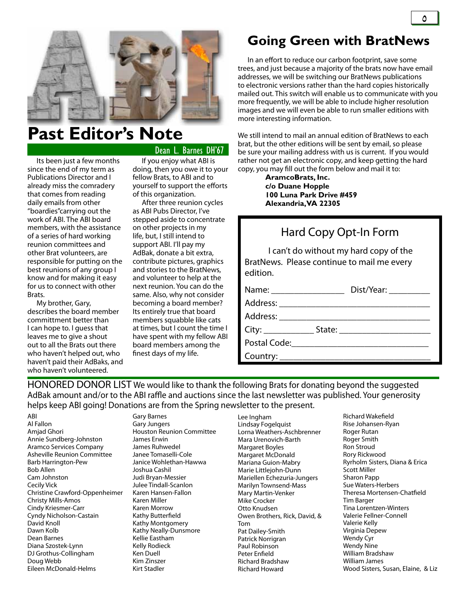<span id="page-4-0"></span>

## **Past Editor's Note**

Dean L. Barnes DH'67

Its been just a few months since the end of my term as Publications Director and I already miss the comradery that comes from reading daily emails from other "boardies"carrying out the work of ABI. The ABI board members, with the assistance of a series of hard working reunion committees and other Brat volunteers, are responsible for putting on the best reunions of any group I know and for making it easy for us to connect with other Brats.

My brother, Gary, describes the board member committment better than I can hope to. I guess that leaves me to give a shout out to all the Brats out there who haven't helped out, who haven't paid their AdBaks, and who haven't volunteered.

If you enjoy what ABI is doing, then you owe it to your fellow Brats, to ABI and to yourself to support the efforts of this organization.

After three reunion cycles as ABI Pubs Director, I've stepped aside to concentrate on other projects in my life, but, I still intend to support ABI. I'll pay my AdBak, donate a bit extra, contribute pictures, graphics and stories to the BratNews, and volunteer to help at the next reunion. You can do the same. Also, why not consider becoming a board member? Its entirely true that board members squabble like cats at times, but I count the time I have spent with my fellow ABI board members among the finest days of my life.

### **Going Green with BratNews**

 In an effort to reduce our carbon footprint, save some trees, and just because a majority of the brats now have email addresses, we will be switching our BratNews publications to electronic versions rather than the hard copies historically mailed out. This switch will enable us to communicate with you more frequently, we will be able to include higher resolution images and we will even be able to run smaller editions with more interesting information.

We still intend to mail an annual edition of BratNews to each brat, but the other editions will be sent by email, so please be sure your mailing address with us is current. If you would rather not get an electronic copy, and keep getting the hard copy, you may fill out the form below and mail it to:

> **AramcoBrats, Inc. c/o Duane Hopple 100 Luna Park Drive #459 Alexandria, VA 22305**

#### Hard Copy Opt-In Form

I can't do without my hard copy of the BratNews. Please continue to mail me every edition.

Name: \_\_\_\_\_\_\_\_\_\_\_\_\_\_\_\_ Dist/Year: \_\_\_\_\_\_\_\_\_

Address: \_\_\_\_\_\_\_\_\_\_\_\_\_\_\_\_\_\_\_\_\_\_\_\_\_\_\_\_\_\_\_\_\_

Address: \_\_\_\_\_\_\_\_\_\_\_\_\_\_\_\_\_\_\_\_\_\_\_\_\_\_\_\_\_\_\_\_\_

City: \_\_\_\_\_\_\_\_\_\_\_ State: \_\_\_\_\_\_\_\_\_\_\_\_\_\_\_\_\_\_\_\_

Postal Code:

Country:

HONORED DONOR LIST We would like to thank the following Brats for donating beyond the suggested AdBak amount and/or to the ABI raffle and auctions since the last newsletter was published. Your generosity helps keep ABI going! Donations are from the Spring newsletter to the present.

ABI Al Fallon Amjad Ghori Annie Sundberg-Johnston Aramco Services Company Asheville Reunion Committee Barb Harrington-Pew Bob Allen Cam Johnston Cecily Vick Christine Crawford-Oppenheimer Christy Mills-Amos Cindy Kriesmer-Carr Cyndy Nicholson-Castain David Knoll Dawn Kolb Dean Barnes Diana Szostek-Lynn DJ Grothus-Collingham Doug Webb Eileen McDonald-Helms

Gary Barnes Gary Jungers Houston Reunion Committee James Erwin James Ruhwedel Janee Tomaselli-Cole Janice Wohlethan-Hawwa Joshua Cashil Judi Bryan-Messier Julee Tindall-Scanlon Karen Hansen-Fallon Karen Miller Karen Morrow Kathy Butterfield Kathy Montgomery Kathy Neally-Dunsmore Kellie Eastham Kelly Rodieck Ken Duell Kim Zinszer Kirt Stadler

Lee Ingham Lindsay Fogelquist Lorna Weathers-Aschbrenner Mara Urenovich-Barth Margaret Boyles Margaret McDonald Mariana Guion-Mabry Marie Littlejohn-Dunn Mariellen Echezuria-Jungers Marilyn Townsend-Mass Mary Martin-Venker Mike Crocker Otto Knudsen Owen Brothers, Rick, David, & Tom Pat Dailey-Smith Patrick Norrigran Paul Robinson Peter Enfield Richard Bradshaw Richard Howard

Richard Wakefield Rise Johansen-Ryan Roger Rutan Roger Smith Ron Stroud Rory Rickwood Ryrholm Sisters, Diana & Erica Scott Miller Sharon Papp Sue Waters-Herbers Theresa Mortensen-Chatfield Tim Barger Tina Lorentzen-Winters Valerie Fellner-Connell Valerie Kelly Virginia Depew Wendy Cyr Wendy Nine William Bradshaw William James Wood Sisters, Susan, Elaine, & Liz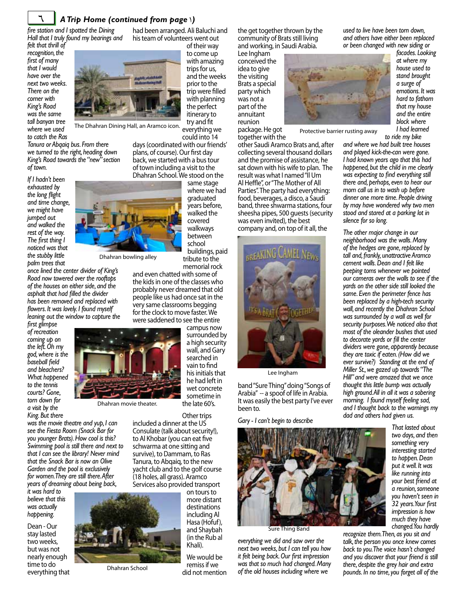<span id="page-5-0"></span>

#### 6 *A Trip Home (continued from page* 1*)*

*fire station and I spotted the Dining Hall that I truly found my bearings and* 

*felt that thrill of recognition, the first of many that I would have over the next two weeks. There on the corner with King's Road was the same tall banyan tree where we used to catch the Ras* 



The Dhahran Dining Hall, an Aramco icon.

*Tanura or Abqaiq bus. From there we turned to the right, heading down King's Road towards the "new" section of town.* 

*If I hadn't been exhausted by the long flight and time change, we might have jumped out and walked the rest of the way. The first thing I noticed was that the stubby little palm trees that* 



*once lined the center divider of King's Road now towered over the rooftops of the houses on either side, and the asphalt that had filled the divider has been removed and replaced with flowers. It was lovely. I found myself leaning out the window to capture the* 

*first glimpse of recreation coming up on the left. Oh my god, where is the baseball field and bleachers? What happened to the tennis courts? Gone, torn down for a visit by the King. But there* 



Dhahran movie theater.

*was the movie theatre and yup, I can see the Fiesta Room (Snack Bar for you younger Brats). How cool is this? Swimming pool is still there and next to that I can see the library! Never mind that the Snack Bar is now an Olive Garden and the pool is exclusively for women. They are still there. After years of dreaming about being back,* 

*it was hard to believe that this was actually happening.* 

Dean - Our stay lasted two weeks, but was not nearly enough time to do everything that



Dhahran School

had been arranged. Ali Baluchi and his team of volunteers went out

of their way to come up with amazing trips for us, and the weeks prior to the trip were filled with planning the perfect itinerary to try and fit everything we

could into 14 days (coordinated with our friends' plans, of course). Our first day back, we started with a bus tour of town including a visit to the Dhahran School. We stood on the

> same stage where we had graduated years before, walked the covered walkways between school buildings, paid tribute to the

memorial rock and even chatted with some of the kids in one of the classes who probably never dreamed that old people like us had once sat in the very same classrooms begging for the clock to move faster. We were saddened to see the entire

> campus now surrounded by a high security wall, and Gary searched in vain to find his initials that he had left in wet concrete sometime in the late 60's.

Other trips included a dinner at the US Consulate (talk about security!), to Al Khobar (you can eat five schwarma at one sitting and survive), to Dammam, to Ras Tanura, to Abqaiq, to the new yacht club and to the golf course (18 holes, all grass). Aramco

Services also provided transport on tours to more distant destinations including Al Hasa (Hofuf), and Shaybah (in the Rub al Khali).

> We would be remiss if we did not mention

the get together thrown by the community of Brats still living and working, in Saudi Arabia.

Lee Ingham conceived the idea to give the visiting Brats a special party which was not a part of the annuitant reunion

package. He got together with the

other Saudi Aramco Brats and, after collecting several thousand dollars and the promise of assistance, he sat down with his wife to plan. The result was what I named "Il Um Al Heffle", or "The Mother of All Parties". The party had everything: food, beverages, a disco, a Saudi band, three shwarma stations, four sheesha pipes, 500 guests (security was even invited), the best company and, on top of it all, the

LREAKING CAMEL NEW

Lee Ingham

band "Sure Thing" doing "Songs of Arabia" -- a spoof of life in Arabia. It was easily the best party I've ever been to.

*Gary - I can't begin to describe* 



Sure Thing Band

*everything we did and saw over the next two weeks, but I can tell you how it felt being back. Our first impression was that so much had changed. Many of the old houses including where we* 

*used to live have been torn down, and others have either been replaced or been changed with new siding or* 

*facades. Looking at where my house used to stand brought a surge of emotions. It was hard to fathom that my house and the entire block where I had learned* 



Protective barrier rusting away

*to ride my bike and where we had built tree houses and played kick-the-can were gone. I had known years ago that this had happened, but the child in me clearly was expecting to find everything still there and, perhaps, even to hear our mom call us in to wash up before dinner one more time. People driving by may have wondered why two men stood and stared at a parking lot in silence for so long.* 

*The other major change in our neighborhood was the walls. Many of the hedges are gone, replaced by tall and, frankly, unattractive Aramco cement walls. Dean and I felt like peeping toms whenever we pointed our cameras over the walls to see if the yards on the other side still looked the same. Even the perimeter fence has been replaced by a high-tech security wall, and recently the Dhahran School was surrounded by a wall as well for security purposes. We noticed also that most of the oleander bushes that used to decorate yards or fill the center dividers were gone, apparently because they are toxic if eaten. (How did we ever survive?) Standing at the end of Miller St., we gazed up towards "The Hill" and were amazed that we once thought this little bump was actually high ground. All in all it was a sobering morning. I found myself feeling sad, and I thought back to the warnings my dad and others had given us.* 

> *That lasted about two days, and then something very interesting started to happen. Dean put it well. It was like running into your best friend at a reunion, someone you haven't seen in 32 years. Your first impression is how much they have changed. You hardly*

*recognize them. Then, as you sit and talk, the person you once knew comes back to you. The voice hasn't changed and you discover that your friend is still there, despite the grey hair and extra pounds. In no time, you forget all of the* 

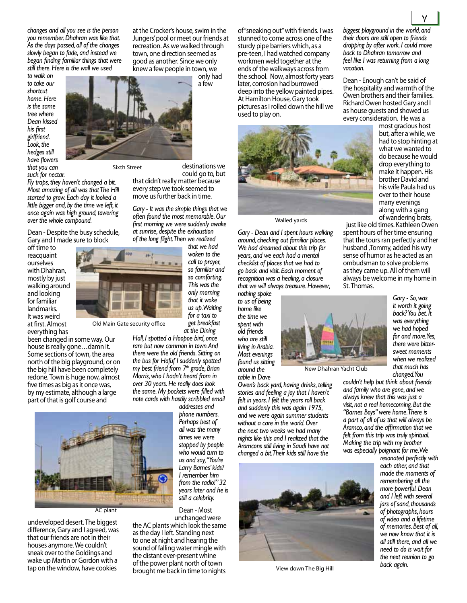*changes and all you see is the person you remember. Dhahran was like that. As the days passed, all of the changes slowly began to fade, and instead we began finding familiar things that were still there. Here is the wall we used* 

*to walk on to take our shortcut home. Here is the same tree where Dean kissed his first girlfriend. Look, the hedges still have flowers that you can suck for nectar.* 



Sixth Street

Old Main Gate security office

*Fly traps, they haven't changed a bit. Most amazing of all was that The Hill started to grow. Each day it looked a little bigger and, by the time we left, it once again was high ground, towering over the whole compound.* 

Dean - Despite the busy schedule, Gary and I made sure to block

off time to reacquaint ourselves with Dhahran, mostly by just walking around and looking for familiar landmarks. It was weird at first. Almost everything has

been changed in some way. Our house is really gone…damn it. Some sections of town, the area north of the big playground, or on the big hill have been completely redone. Town is huge now, almost five times as big as it once was, by my estimate, although a large part of that is golf course and



AC plant

undeveloped desert. The biggest difference, Gary and I agreed, was that our friends are not in their houses anymore. We couldn't sneak over to the Goldings and wake up Martin or Gordon with a tap on the window, have cookies

at the Crocker's house, swim in the Jungers' pool or meet our friends at recreation. As we walked through town, one direction seemed as good as another. Since we only knew a few people in town, we

a few

only had

destinations we could go to, but that didn't really matter because every step we took seemed to

*Gary - It was the simple things that we often found the most memorable. Our first morning we were suddenly awake at sunrise, despite the exhaustion of the long flight. Then we realized* 

move us further back in time.

*that we had woken to the call to prayer, so familiar and so comforting. This was the only morning that it woke us up. Waiting for a taxi to get breakfast at the Dining* 

*Hall, I spotted a Hoopoe bird, once rare but now common in town. And there were the old friends. Sitting on the bus for Hofuf I suddenly spotted my best friend from 7th grade, Brian Morris, who I hadn't heard from in over 30 years. He really does look the same. My pockets were filled with note cards with hastily scribbled email* 

*addresses and phone numbers. Perhaps best of all was the many times we were stopped by people who would turn to us and say, "You're Larry Barnes' kids? I remember him from the radio!" 32 years later and he is still a celebrity.*

Dean - Most unchanged were

the AC plants which look the same as the day I left. Standing next to one at night and hearing the sound of falling water mingle with the distant ever-present whine of the power plant north of town brought me back in time to nights

of "sneaking out" with friends. I was stunned to come across one of the sturdy pipe barriers which, as a pre-teen, I had watched company workmen weld together at the ends of the walkways across from the school. Now, almost forty years later, corrosion had burrowed deep into the yellow painted pipes. At Hamilton House, Gary took pictures as I rolled down the hill we used to play on.



Walled yards

*Gary - Dean and I spent hours walking around, checking out familiar places. We had dreamed about this trip for years, and we each had a mental checklist of places that we had to go back and visit. Each moment of recognition was a healing, a closure that we will always treasure. However,* 

*nothing spoke to us of being home like the time we spent with old friends who are still living in Arabia. Most evenings found us sitting around the* 

*table in Dave* 

*Owen's back yard, having drinks, telling stories and feeling a joy that I haven't felt in years. I felt the years roll back and suddenly this was again 1975, and we were again summer students without a care in the world. Over the next two weeks we had many nights like this and I realized that the Aramcons still living in Saudi have not changed a bit. Their kids still have the* 



View down The Big Hill

*biggest playground in the world, and their doors are still open to friends dropping by after work. I could move back to Dhahran tomorrow and feel like I was returning from a long vacation.* 

Dean - Enough can't be said of the hospitality and warmth of the Owen brothers and their families. Richard Owen hosted Gary and I as house guests and showed us every consideration. He was a

most gracious host but, after a while, we had to stop hinting at what we wanted to do because he would drop everything to make it happen. His brother David and his wife Paula had us over to their house many evenings along with a gang of wandering brats,

just like old times. Kathleen Owen spent hours of her time ensuring that the tours ran perfectly and her husband ,Tommy, added his wry sense of humor as he acted as an ombudsman to solve problems as they came up. All of them will always be welcome in my home in St. Thomas.



*sweet moments when we realized that much has changed. You couldn't help but think about friends and family who are gone, and we always knew that this was just a visit, not a real homecoming. But the "Barnes Boys" were home. There is a part of all of us that will always be Aramco, and the affirmation that we felt from this trip was truly spiritual.* 

*Making the trip with my brother* 

*was especially poignant for me. We resonated perfectly with each other, and that made the moments of remembering all the more powerful. Dean and I left with several jars of sand, thousands of photographs, hours of video and a lifetime of memories. Best of all, we now know that it is all still there, and all we need to do is wait for the next reunion to go back again.*

 $\frac{1}{2}$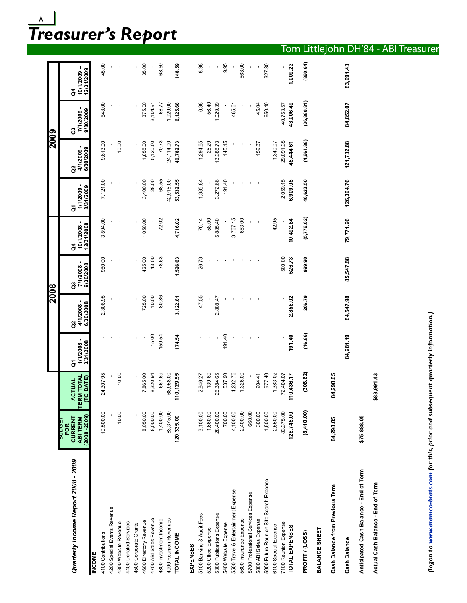### <span id="page-7-0"></span>*Treasurer's Report*  $\lambda$

|                                         |                                                                    |                                                    |                             | 2008                          |                             |                              |                                              | $\frac{5002}{5}$                |                                              |                               |
|-----------------------------------------|--------------------------------------------------------------------|----------------------------------------------------|-----------------------------|-------------------------------|-----------------------------|------------------------------|----------------------------------------------|---------------------------------|----------------------------------------------|-------------------------------|
|                                         | EP.OD.R                                                            |                                                    |                             |                               |                             |                              |                                              |                                 |                                              |                               |
| Quarterly Income Report 2008 - 2009     | $(2008 - 2009)$<br><b>CURRENT</b><br><b>ABI TERM</b><br><b>FOR</b> | <b>ACTUAL<br/>TERM TOTAL</b><br>(TO DATE)<br>CTUAL | 1/1/2008-<br>3/31/2008<br>δ | 4/1/2008 -<br>6/30/2008<br>ອິ | 7/1/2008-<br>9/30/2008<br>G | 12/31/2008<br>10/1/2008<br>ð | $\blacksquare$<br>3/31/2009<br>1/1/2009<br>ŏ | ٠<br>6/30/2009<br>4/1/2009<br>ã | $\blacksquare$<br>9/30/2009<br>7/1/2009<br>G | 10/1/2009-<br>12/31/2009<br>ð |
| <b>INCOME</b>                           |                                                                    |                                                    |                             |                               |                             |                              |                                              |                                 |                                              |                               |
| 4100 Contributions                      | 19,500.00                                                          | 24,307.95                                          |                             | 2,306.95                      | 980.00                      | 3,594.00                     | 7,121.00                                     | 9,613.00                        | 648.00                                       | 45.00                         |
| 4200 Special Events Revenue             |                                                                    |                                                    |                             |                               |                             |                              |                                              |                                 |                                              |                               |
| 4300 Website Revenue                    | 10.00                                                              | 10.00                                              |                             |                               |                             |                              |                                              | 10.00                           |                                              |                               |
| 4400 Donated Services                   |                                                                    |                                                    |                             |                               |                             |                              |                                              |                                 |                                              |                               |
| 4500 Corporate Grants                   |                                                                    |                                                    |                             |                               |                             |                              |                                              |                                 |                                              |                               |
| 4600 Directory Revenue                  | 8,050.00                                                           | 7,865.00                                           |                             | 725.00                        | 425.00                      | 1,050.00                     | 3,400.00                                     | 1,855.00                        | 375.00                                       | 35.00                         |
| 4700 ABI Sales Revenue                  | 8,000.00                                                           | 8,320.91                                           | 15.00                       | 10.00                         | 43.00                       |                              | 28.00                                        | 5,120.00                        | 3,104.91                                     |                               |
| 4800 Investment Income                  | 1,400.00                                                           | 667.69                                             | 159.54                      | 80.86                         | 78.63                       | 72.02                        | 68.55                                        | 70.73                           | 68.77                                        | 68.59                         |
| 4900 Reunion Revenues                   | 83,375.00                                                          | 68,958.00                                          |                             |                               |                             |                              | 42,915.00                                    | 24,114.00                       | 1,929.00                                     |                               |
| TOTAL INCOME                            | 120,335.00                                                         | 0,129.55<br>ź                                      | 174.54                      | 3,122.81                      | 1,526.63                    | 4,716.02                     | 53,532.55                                    | 40,782.73                       | 6,125.68                                     | 148.59                        |
| EXPENSES                                |                                                                    |                                                    |                             |                               |                             |                              |                                              |                                 |                                              |                               |
| 5100 Banking & Audit Fees               | 3,100.00                                                           | 2,846.27                                           |                             | 47.55                         | 26.73                       | 76.14                        | 1,385.84                                     | 1,294.65                        | 6.38                                         | 8.98                          |
| 5200 Office Expense                     | 1,660.00                                                           | 139.69                                             |                             |                               |                             | 58.00                        |                                              | 25.29                           | 56.40                                        |                               |
| 5300 Publications Expense               | 28,400.00                                                          | 26,384.65                                          |                             | 2,808.47                      |                             | 5,885.40                     | 3,272.66                                     | 13,388.73                       | 1,029.39                                     |                               |
| 5400 Website Expense                    | 700.00                                                             | 537.90                                             | 191.40                      |                               |                             |                              | 191.40                                       | 145.15                          |                                              | 9.95                          |
| 5500 Travel & Entertainment Expense     | 4,100.00                                                           | 4,232.76                                           |                             |                               |                             | 3,767.15                     |                                              |                                 | 465.61                                       |                               |
| 5600 Insurance Expense                  | 2,400.00                                                           | 1,326.00                                           |                             |                               |                             | 663.00                       |                                              |                                 |                                              | 663.00                        |
| 5700 Professional Services Expense      | 660.00                                                             |                                                    |                             |                               |                             |                              |                                              |                                 |                                              |                               |
| 5800 ABI Sales Expense                  | 300.00                                                             | 204.41                                             |                             |                               |                             |                              |                                              | 159.37                          | 45.04                                        |                               |
| 5900 Future Reunion Site Search Expense | 1,500.00                                                           | 977.40                                             |                             |                               |                             |                              |                                              |                                 | 650.10                                       | 327.30                        |
| 6100 Special Expense                    | 2,550.00                                                           | 1,383.02                                           |                             |                               |                             | 42.95                        |                                              | 1,340.07                        |                                              |                               |
| 7100 Reunion Expense                    | 83,375.00                                                          | 72,404.07                                          |                             |                               | 500.00                      |                              | 2,059.15                                     | 29,091.35                       | 40,753.57                                    |                               |
| TOTAL EXPENSES                          | 128,745.00                                                         | 0,436.17<br>ŕ                                      | 191.40                      | 2,856.02                      | 526.73                      | 10,492.64                    | 6,909.05                                     | 45,444.61                       | 43,006.49                                    | 1,009.23                      |
| PROFIT / (LOSS)                         | (8,410.00)                                                         | (306.62)                                           | (16.86)                     | 266.79                        | 999.90                      | (5,776.62)                   | 46,623.50                                    | (4, 661.88)                     | (36,880.81)                                  | (860.64)                      |
| BALANCE SHEET                           |                                                                    |                                                    |                             |                               |                             |                              |                                              |                                 |                                              |                               |
| Cash Balance from Previous Term         | 84,298.05                                                          | 34,298.05                                          |                             |                               |                             |                              |                                              |                                 |                                              |                               |
| Cash Balance                            |                                                                    |                                                    | 84,281.19                   | 84,547.98                     | 85,547.88                   | 79,771.26                    | 126,394.76                                   | 121,732.88                      | 84,852.07                                    | 83,991.43                     |
| Anticipated Cash Balance - End of Term  | \$75,888.05                                                        |                                                    |                             |                               |                             |                              |                                              |                                 |                                              |                               |
| Actual Cash Balance - End of Term       |                                                                    | \$83,991.43                                        |                             |                               |                             |                              |                                              |                                 |                                              |                               |

(logon to www.aramco-brats.com for this, prior and subsequent quarterly information.) *(logon to [www.aramco-brats.com](http://www.aramco-brats.com/reports.html) for this, prior and subsequent quarterly information.)*

#### Tom Littlejohn DH'84 - ABI Treasurer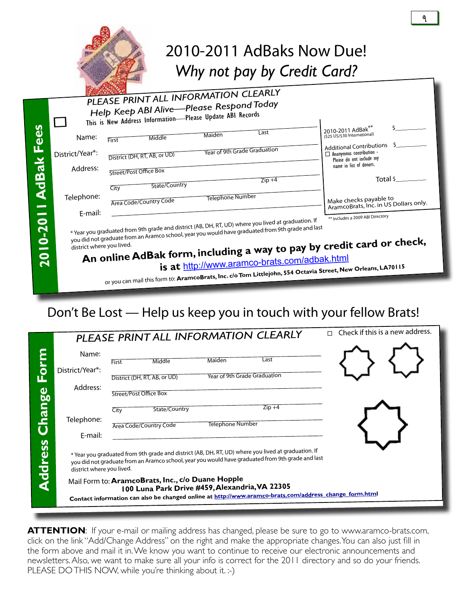<span id="page-8-0"></span>

|                     |                           | 2010-2011 AdBaks Now Due!<br>Why not pay by Credit Card?                                                                                                                                                                                                                          |                                                                                         |
|---------------------|---------------------------|-----------------------------------------------------------------------------------------------------------------------------------------------------------------------------------------------------------------------------------------------------------------------------------|-----------------------------------------------------------------------------------------|
|                     |                           | PLEASE PRINT ALL INFORMATION CLEARLY                                                                                                                                                                                                                                              |                                                                                         |
|                     |                           | Help Keep ABI Alive-Please Respond Today                                                                                                                                                                                                                                          |                                                                                         |
|                     |                           | This is New Address Information-Please Update ABI Records                                                                                                                                                                                                                         |                                                                                         |
| <b>I AdBak Fees</b> | Name:                     | I ast<br>Maiden<br>Middle<br>First                                                                                                                                                                                                                                                | 2010-2011 AdBak<br>(\$25 US/\$30 International)                                         |
|                     | District/Year*:           | Year of 9th Grade Graduation<br>District (DH, RT, AB, or UD)                                                                                                                                                                                                                      | <b>Additional Contributions</b><br>Anonymous contribution -<br>Please do not include my |
|                     | Address:                  | Street/Post Office Box                                                                                                                                                                                                                                                            | name in list of donors.                                                                 |
|                     |                           | $Zip + 4$<br>State/Country<br>City                                                                                                                                                                                                                                                | Total \$                                                                                |
|                     | Telephone:                | <b>Telephone Number</b><br>Area Code/Country Code                                                                                                                                                                                                                                 | Make checks payable to<br>AramcoBrats, Inc. in US Dollars only.                         |
|                     | E-mail:                   |                                                                                                                                                                                                                                                                                   | ** Includes a 2009 ABI Directory                                                        |
| 2010-201            | district where you lived. | * Year you graduated from 9th grade and district (AB, DH, RT, UD) where you lived at graduation. If<br>you did not graduate from an Aramco school, year you would have graduated from 9th grade and last<br>An online AdBak form, including a way to pay by credit card or check, |                                                                                         |
|                     |                           | is at http://www.aramco-brats.com/adbak.html                                                                                                                                                                                                                                      |                                                                                         |
|                     |                           | or you can mail this form to: AramcoBrats, Inc. c/o Tom Littlejohn, 554 Octavia Street, New Orleans, LA70115                                                                                                                                                                      |                                                                                         |

### Don't Be Lost — Help us keep you in touch with your fellow Brats!

|                |                           |                                                                                                                                                                                                               |               |                              | PLEASE PRINT ALL INFORMATION CLEARLY                                                                                                                                                                     | $\Box$ Check if this is a new address. |  |
|----------------|---------------------------|---------------------------------------------------------------------------------------------------------------------------------------------------------------------------------------------------------------|---------------|------------------------------|----------------------------------------------------------------------------------------------------------------------------------------------------------------------------------------------------------|----------------------------------------|--|
| orm            | Name:                     | First                                                                                                                                                                                                         | Middle        | Maiden                       | Last                                                                                                                                                                                                     |                                        |  |
|                | District/Year*:           | District (DH, RT, AB, or UD)                                                                                                                                                                                  |               | Year of 9th Grade Graduation |                                                                                                                                                                                                          |                                        |  |
|                | Address:                  | Street/Post Office Box                                                                                                                                                                                        |               |                              |                                                                                                                                                                                                          |                                        |  |
| Change         | Telephone:                | City                                                                                                                                                                                                          | State/Country |                              | $Zip +4$                                                                                                                                                                                                 |                                        |  |
|                | E-mail:                   | Area Code/Country Code                                                                                                                                                                                        |               | <b>Telephone Number</b>      |                                                                                                                                                                                                          |                                        |  |
| <b>Address</b> | district where you lived. |                                                                                                                                                                                                               |               |                              | * Year you graduated from 9th grade and district (AB, DH, RT, UD) where you lived at graduation. If<br>you did not graduate from an Aramco school, year you would have graduated from 9th grade and last |                                        |  |
|                |                           | Mail Form to: AramcoBrats, Inc., c/o Duane Hopple<br>100 Luna Park Drive #459, Alexandria, VA 22305<br>Contact information can also be changed online at http://www.aramco-brats.com/address_change_form.html |               |                              |                                                                                                                                                                                                          |                                        |  |

**ATTENTION**: If your e-mail or mailing address has changed, please be sure to go to www.aramco-brats.com, click on the link "Add/Change Address" on the right and make the appropriate changes. You can also just fill in the form above and mail it in. We know you want to continue to receive our electronic announcements and newsletters. Also, we want to make sure all your info is correct for the 2011 directory and so do your friends. PLEASE DO THIS NOW, while you're thinking about it. :-)

9